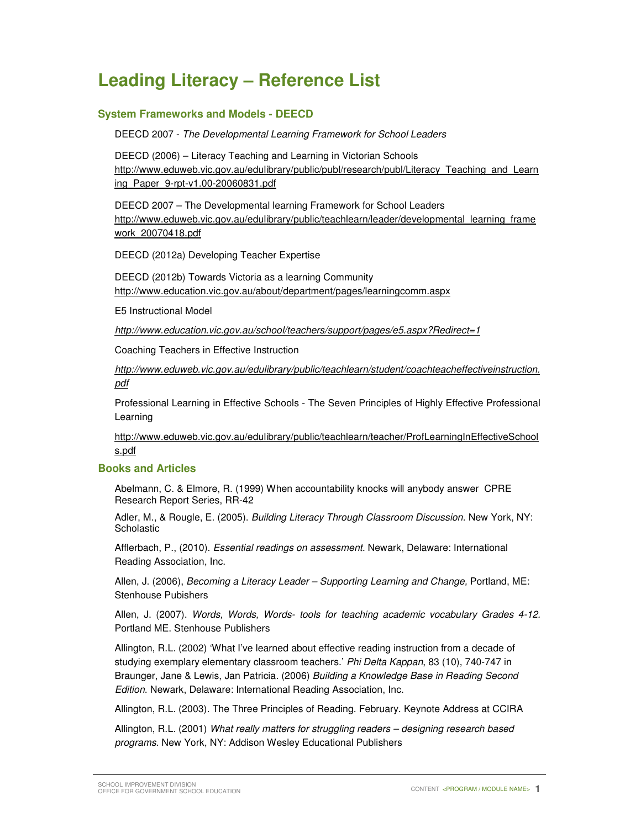## **Leading Literacy – Reference List**

## **System Frameworks and Models - DEECD**

DEECD 2007 - The Developmental Learning Framework for School Leaders

DEECD (2006) – Literacy Teaching and Learning in Victorian Schools http://www.eduweb.vic.gov.au/edulibrary/public/publ/research/publ/Literacy\_Teaching\_and\_Learn ing\_Paper\_9-rpt-v1.00-20060831.pdf

DEECD 2007 – The Developmental learning Framework for School Leaders http://www.eduweb.vic.gov.au/edulibrary/public/teachlearn/leader/developmental\_learning\_frame work\_20070418.pdf

DEECD (2012a) Developing Teacher Expertise

DEECD (2012b) Towards Victoria as a learning Community http://www.education.vic.gov.au/about/department/pages/learningcomm.aspx

E5 Instructional Model

http://www.education.vic.gov.au/school/teachers/support/pages/e5.aspx?Redirect=1

Coaching Teachers in Effective Instruction

http://www.eduweb.vic.gov.au/edulibrary/public/teachlearn/student/coachteacheffectiveinstruction. pdf

Professional Learning in Effective Schools - The Seven Principles of Highly Effective Professional Learning

http://www.eduweb.vic.gov.au/edulibrary/public/teachlearn/teacher/ProfLearningInEffectiveSchool s.pdf

## **Books and Articles**

Abelmann, C. & Elmore, R. (1999) When accountability knocks will anybody answer CPRE Research Report Series, RR-42

Adler, M., & Rougle, E. (2005). Building Literacy Through Classroom Discussion. New York, NY: **Scholastic** 

Afflerbach, P., (2010). Essential readings on assessment. Newark, Delaware: International Reading Association, Inc.

Allen, J. (2006), Becoming a Literacy Leader – Supporting Learning and Change, Portland, ME: Stenhouse Pubishers

Allen, J. (2007). Words, Words, Words- tools for teaching academic vocabulary Grades 4-12. Portland ME. Stenhouse Publishers

Allington, R.L. (2002) 'What I've learned about effective reading instruction from a decade of studying exemplary elementary classroom teachers.' Phi Delta Kappan, 83 (10), 740-747 in Braunger, Jane & Lewis, Jan Patricia. (2006) Building a Knowledge Base in Reading Second Edition. Newark, Delaware: International Reading Association, Inc.

Allington, R.L. (2003). The Three Principles of Reading. February. Keynote Address at CCIRA

Allington, R.L. (2001) What really matters for struggling readers – designing research based programs. New York, NY: Addison Wesley Educational Publishers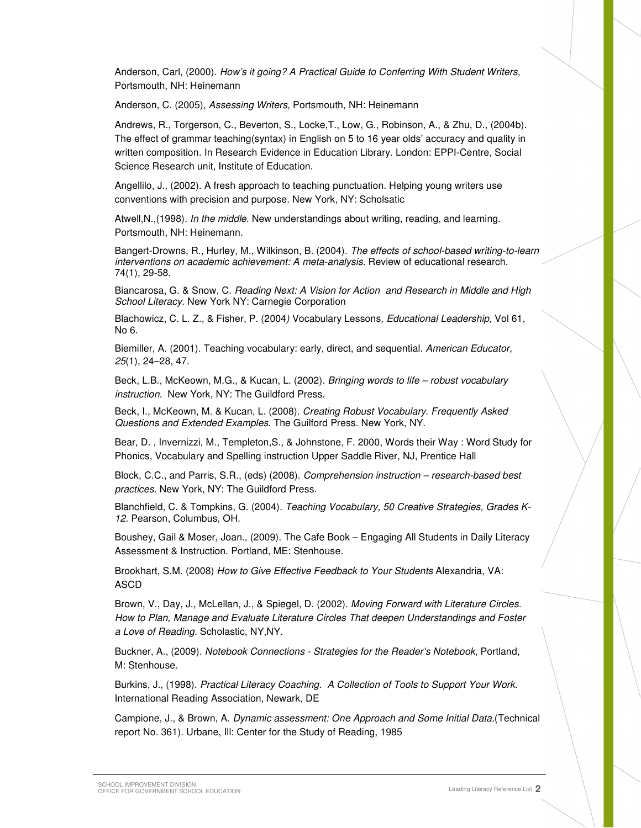Anderson, Carl, (2000). How's it going? A Practical Guide to Conferring With Student Writers, Portsmouth, NH: Heinemann

Anderson, C. (2005), Assessing Writers, Portsmouth, NH: Heinemann

Andrews, R., Torgerson, C., Beverton, S., Locke,T., Low, G., Robinson, A., & Zhu, D., (2004b). The effect of grammar teaching(syntax) in English on 5 to 16 year olds' accuracy and quality in written composition. In Research Evidence in Education Library. London: EPPI-Centre, Social Science Research unit, Institute of Education.

Angellilo, J., (2002). A fresh approach to teaching punctuation. Helping young writers use conventions with precision and purpose. New York, NY: Scholsatic

Atwell, N., (1998). In the middle. New understandings about writing, reading, and learning. Portsmouth, NH: Heinemann.

Bangert-Drowns, R., Hurley, M., Wilkinson, B. (2004). The effects of school-based writing-to-learn interventions on academic achievement: A meta-analysis. Review of educational research. 74(1), 29-58.

Biancarosa, G. & Snow, C. Reading Next: A Vision for Action and Research in Middle and High School Literacy. New York NY: Carnegie Corporation

Blachowicz, C. L. Z., & Fisher, P. (2004) Vocabulary Lessons, Educational Leadership, Vol 61, No 6.

Biemiller, A. (2001). Teaching vocabulary: early, direct, and sequential. American Educator, 25(1), 24–28, 47.

Beck, L.B., McKeown, M.G., & Kucan, L. (2002). Bringing words to life – robust vocabulary instruction. New York, NY: The Guildford Press.

Beck, I., McKeown, M. & Kucan, L. (2008). Creating Robust Vocabulary. Frequently Asked Questions and Extended Examples. The Guilford Press. New York, NY.

Bear, D. , Invernizzi, M., Templeton,S., & Johnstone, F. 2000, Words their Way : Word Study for Phonics, Vocabulary and Spelling instruction Upper Saddle River, NJ, Prentice Hall

Block, C.C., and Parris, S.R., (eds) (2008). Comprehension instruction – research-based best practices. New York, NY: The Guildford Press.

Blanchfield, C. & Tompkins, G. (2004). Teaching Vocabulary, 50 Creative Strategies, Grades K-12. Pearson, Columbus, OH.

Boushey, Gail & Moser, Joan., (2009). The Cafe Book – Engaging All Students in Daily Literacy Assessment & Instruction. Portland, ME: Stenhouse.

Brookhart, S.M. (2008) How to Give Effective Feedback to Your Students Alexandria, VA: ASCD

Brown, V., Day, J., McLellan, J., & Spiegel, D. (2002). Moving Forward with Literature Circles. How to Plan, Manage and Evaluate Literature Circles That deepen Understandings and Foster a Love of Reading. Scholastic, NY,NY.

Buckner, A., (2009). Notebook Connections - Strategies for the Reader's Notebook, Portland, M: Stenhouse.

Burkins, J., (1998). Practical Literacy Coaching. A Collection of Tools to Support Your Work. International Reading Association, Newark, DE

Campione, J., & Brown, A. Dynamic assessment: One Approach and Some Initial Data.(Technical report No. 361). Urbane, Ill: Center for the Study of Reading, 1985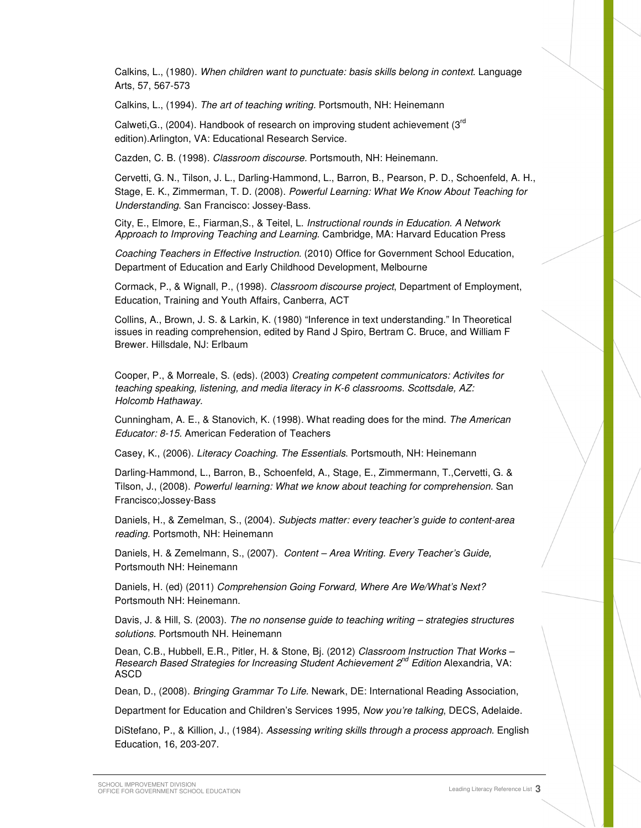Calkins, L., (1980). When children want to punctuate: basis skills belong in context. Language Arts, 57, 567-573

Calkins, L., (1994). The art of teaching writing. Portsmouth, NH: Heinemann

Calweti, G., (2004). Handbook of research on improving student achievement (3<sup>rd</sup> edition).Arlington, VA: Educational Research Service.

Cazden, C. B. (1998). Classroom discourse. Portsmouth, NH: Heinemann.

Cervetti, G. N., Tilson, J. L., Darling-Hammond, L., Barron, B., Pearson, P. D., Schoenfeld, A. H., Stage, E. K., Zimmerman, T. D. (2008). Powerful Learning: What We Know About Teaching for Understanding. San Francisco: Jossey-Bass.

City, E., Elmore, E., Fiarman,S., & Teitel, L. Instructional rounds in Education. A Network Approach to Improving Teaching and Learning. Cambridge, MA: Harvard Education Press

Coaching Teachers in Effective Instruction. (2010) Office for Government School Education, Department of Education and Early Childhood Development, Melbourne

Cormack, P., & Wignall, P., (1998). Classroom discourse project, Department of Employment, Education, Training and Youth Affairs, Canberra, ACT

Collins, A., Brown, J. S. & Larkin, K. (1980) "Inference in text understanding." In Theoretical issues in reading comprehension, edited by Rand J Spiro, Bertram C. Bruce, and William F Brewer. Hillsdale, NJ: Erlbaum

Cooper, P., & Morreale, S. (eds). (2003) Creating competent communicators: Activites for teaching speaking, listening, and media literacy in K-6 classrooms. Scottsdale, AZ: Holcomb Hathaway.

Cunningham, A. E., & Stanovich, K. (1998). What reading does for the mind. The American Educator: 8-15. American Federation of Teachers

Casey, K., (2006). Literacy Coaching. The Essentials. Portsmouth, NH: Heinemann

Darling-Hammond, L., Barron, B., Schoenfeld, A., Stage, E., Zimmermann, T.,Cervetti, G. & Tilson, J., (2008). Powerful learning: What we know about teaching for comprehension. San Francisco;Jossey-Bass

Daniels, H., & Zemelman, S., (2004). Subjects matter: every teacher's guide to content-area reading. Portsmoth, NH: Heinemann

Daniels, H. & Zemelmann, S., (2007). Content – Area Writing. Every Teacher's Guide, Portsmouth NH: Heinemann

Daniels, H. (ed) (2011) Comprehension Going Forward, Where Are We/What's Next? Portsmouth NH: Heinemann.

Davis, J. & Hill, S. (2003). The no nonsense guide to teaching writing – strategies structures solutions. Portsmouth NH. Heinemann

Dean, C.B., Hubbell, E.R., Pitler, H. & Stone, Bj. (2012) Classroom Instruction That Works -Research Based Strategies for Increasing Student Achievement 2<sup>nd</sup> Edition Alexandria, VA: ASCD

Dean, D., (2008). Bringing Grammar To Life. Newark, DE: International Reading Association,

Department for Education and Children's Services 1995, Now you're talking, DECS, Adelaide.

DiStefano, P., & Killion, J., (1984). Assessing writing skills through a process approach. English Education, 16, 203-207.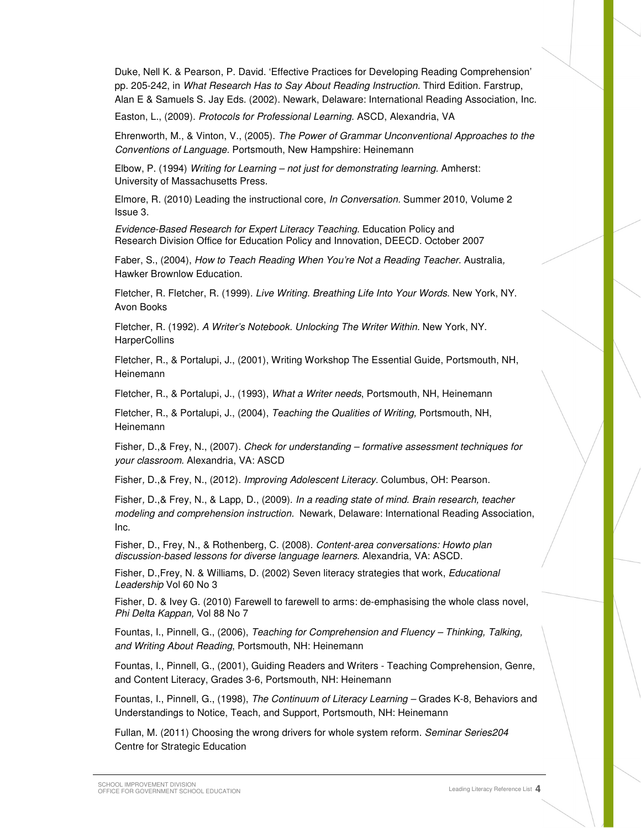Duke, Nell K. & Pearson, P. David. 'Effective Practices for Developing Reading Comprehension' pp. 205-242, in What Research Has to Say About Reading Instruction. Third Edition. Farstrup, Alan E & Samuels S. Jay Eds. (2002). Newark, Delaware: International Reading Association, Inc.

Easton, L., (2009). Protocols for Professional Learning. ASCD, Alexandria, VA

Ehrenworth, M., & Vinton, V., (2005). The Power of Grammar Unconventional Approaches to the Conventions of Language. Portsmouth, New Hampshire: Heinemann

Elbow, P. (1994) Writing for Learning – not just for demonstrating learning. Amherst: University of Massachusetts Press.

Elmore, R. (2010) Leading the instructional core, In Conversation. Summer 2010, Volume 2 Issue 3.

Evidence-Based Research for Expert Literacy Teaching. Education Policy and Research Division Office for Education Policy and Innovation, DEECD. October 2007

Faber, S., (2004), How to Teach Reading When You're Not a Reading Teacher. Australia, Hawker Brownlow Education.

Fletcher, R. Fletcher, R. (1999). Live Writing. Breathing Life Into Your Words. New York, NY. Avon Books

Fletcher, R. (1992). A Writer's Notebook. Unlocking The Writer Within. New York, NY. **HarperCollins** 

Fletcher, R., & Portalupi, J., (2001), Writing Workshop The Essential Guide, Portsmouth, NH, Heinemann

Fletcher, R., & Portalupi, J., (1993), What a Writer needs, Portsmouth, NH, Heinemann

Fletcher, R., & Portalupi, J., (2004), Teaching the Qualities of Writing, Portsmouth, NH, Heinemann

Fisher, D.,& Frey, N., (2007). Check for understanding – formative assessment techniques for your classroom. Alexandria, VA: ASCD

Fisher, D.,& Frey, N., (2012). Improving Adolescent Literacy. Columbus, OH: Pearson.

Fisher, D., & Frey, N., & Lapp, D., (2009). In a reading state of mind. Brain research, teacher modeling and comprehension instruction. Newark, Delaware: International Reading Association, Inc.

Fisher, D., Frey, N., & Rothenberg, C. (2008). Content-area conversations: Howto plan discussion-based lessons for diverse language learners. Alexandria, VA: ASCD.

Fisher, D.,Frey, N. & Williams, D. (2002) Seven literacy strategies that work, Educational Leadership Vol 60 No 3

Fisher, D. & Ivey G. (2010) Farewell to farewell to arms: de-emphasising the whole class novel, Phi Delta Kappan, Vol 88 No 7

Fountas, I., Pinnell, G., (2006), Teaching for Comprehension and Fluency – Thinking, Talking, and Writing About Reading, Portsmouth, NH: Heinemann

Fountas, I., Pinnell, G., (2001), Guiding Readers and Writers - Teaching Comprehension, Genre, and Content Literacy, Grades 3-6, Portsmouth, NH: Heinemann

Fountas, I., Pinnell, G., (1998), The Continuum of Literacy Learning - Grades K-8, Behaviors and Understandings to Notice, Teach, and Support, Portsmouth, NH: Heinemann

Fullan, M. (2011) Choosing the wrong drivers for whole system reform. Seminar Series204 Centre for Strategic Education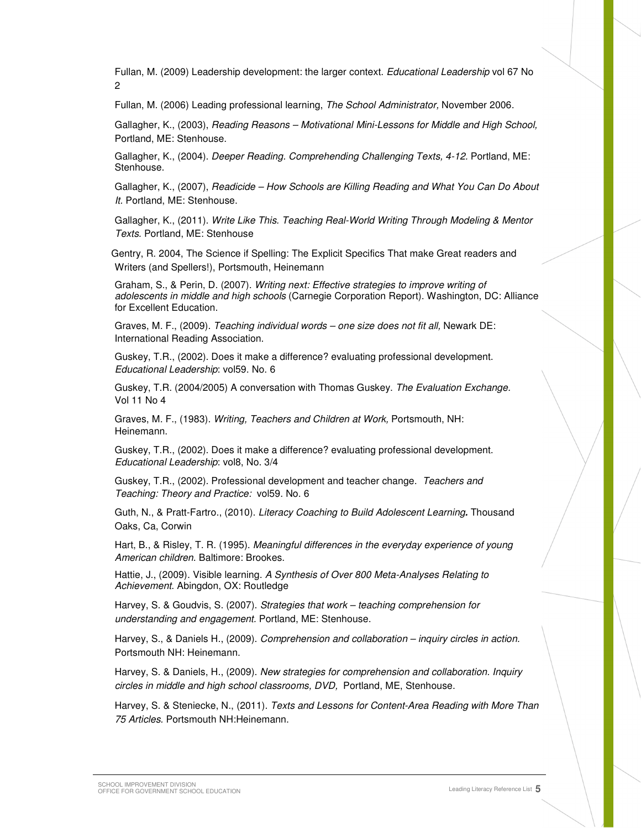Fullan, M. (2009) Leadership development: the larger context. Educational Leadership vol 67 No 2

Fullan, M. (2006) Leading professional learning, The School Administrator, November 2006.

Gallagher, K., (2003), Reading Reasons – Motivational Mini-Lessons for Middle and High School, Portland, ME: Stenhouse.

Gallagher, K., (2004). Deeper Reading. Comprehending Challenging Texts, 4-12. Portland, ME: Stenhouse.

Gallagher, K., (2007), Readicide – How Schools are Killing Reading and What You Can Do About It. Portland, ME: Stenhouse.

Gallagher, K., (2011). Write Like This. Teaching Real-World Writing Through Modeling & Mentor Texts. Portland, ME: Stenhouse

Gentry, R. 2004, The Science if Spelling: The Explicit Specifics That make Great readers and Writers (and Spellers!), Portsmouth, Heinemann

Graham, S., & Perin, D. (2007). Writing next: Effective strategies to improve writing of adolescents in middle and high schools (Carnegie Corporation Report). Washington, DC: Alliance for Excellent Education.

Graves, M. F., (2009). Teaching individual words – one size does not fit all, Newark DE: International Reading Association.

Guskey, T.R., (2002). Does it make a difference? evaluating professional development. Educational Leadership: vol59. No. 6

Guskey, T.R. (2004/2005) A conversation with Thomas Guskey. The Evaluation Exchange. Vol 11 No 4

Graves, M. F., (1983). Writing, Teachers and Children at Work, Portsmouth, NH: Heinemann.

Guskey, T.R., (2002). Does it make a difference? evaluating professional development. Educational Leadership: vol8, No. 3/4

Guskey, T.R., (2002). Professional development and teacher change. Teachers and Teaching: Theory and Practice: vol59. No. 6

Guth, N., & Pratt-Fartro., (2010). Literacy Coaching to Build Adolescent Learning**.** Thousand Oaks, Ca, Corwin

Hart, B., & Risley, T. R. (1995). Meaningful differences in the everyday experience of young American children. Baltimore: Brookes.

Hattie, J., (2009). Visible learning. A Synthesis of Over 800 Meta-Analyses Relating to Achievement. Abingdon, OX: Routledge

Harvey, S. & Goudvis, S. (2007). Strategies that work – teaching comprehension for understanding and engagement. Portland, ME: Stenhouse.

Harvey, S., & Daniels H., (2009). Comprehension and collaboration – inquiry circles in action. Portsmouth NH: Heinemann.

Harvey, S. & Daniels, H., (2009). New strategies for comprehension and collaboration. Inquiry circles in middle and high school classrooms, DVD, Portland, ME, Stenhouse.

Harvey, S. & Steniecke, N., (2011). Texts and Lessons for Content-Area Reading with More Than 75 Articles. Portsmouth NH:Heinemann.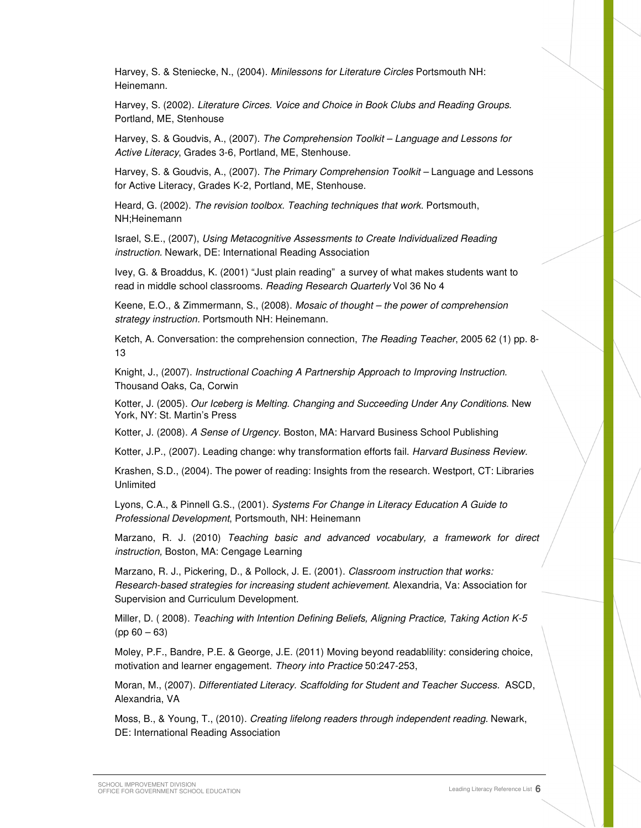Harvey, S. & Steniecke, N., (2004). Minilessons for Literature Circles Portsmouth NH: Heinemann.

Harvey, S. (2002). Literature Circes. Voice and Choice in Book Clubs and Reading Groups. Portland, ME, Stenhouse

Harvey, S. & Goudvis, A., (2007). The Comprehension Toolkit – Language and Lessons for Active Literacy, Grades 3-6, Portland, ME, Stenhouse.

Harvey, S. & Goudvis, A., (2007). The Primary Comprehension Toolkit – Language and Lessons for Active Literacy, Grades K-2, Portland, ME, Stenhouse.

Heard, G. (2002). The revision toolbox. Teaching techniques that work. Portsmouth, NH;Heinemann

Israel, S.E., (2007), Using Metacognitive Assessments to Create Individualized Reading instruction. Newark, DE: International Reading Association

Ivey, G. & Broaddus, K. (2001) "Just plain reading" a survey of what makes students want to read in middle school classrooms. Reading Research Quarterly Vol 36 No 4

Keene, E.O., & Zimmermann, S., (2008). Mosaic of thought – the power of comprehension strategy instruction. Portsmouth NH: Heinemann.

Ketch, A. Conversation: the comprehension connection, The Reading Teacher, 2005 62 (1) pp. 8-13

Knight, J., (2007). Instructional Coaching A Partnership Approach to Improving Instruction. Thousand Oaks, Ca, Corwin

Kotter, J. (2005). Our Iceberg is Melting. Changing and Succeeding Under Any Conditions. New York, NY: St. Martin's Press

Kotter, J. (2008). A Sense of Urgency. Boston, MA: Harvard Business School Publishing

Kotter, J.P., (2007). Leading change: why transformation efforts fail. Harvard Business Review.

Krashen, S.D., (2004). The power of reading: Insights from the research. Westport, CT: Libraries Unlimited

Lyons, C.A., & Pinnell G.S., (2001). Systems For Change in Literacy Education A Guide to Professional Development, Portsmouth, NH: Heinemann

Marzano, R. J. (2010) Teaching basic and advanced vocabulary, a framework for direct instruction, Boston, MA: Cengage Learning

Marzano, R. J., Pickering, D., & Pollock, J. E. (2001). Classroom instruction that works: Research-based strategies for increasing student achievement. Alexandria, Va: Association for Supervision and Curriculum Development.

Miller, D. ( 2008). Teaching with Intention Defining Beliefs, Aligning Practice, Taking Action K-5 (pp 60 – 63)

Moley, P.F., Bandre, P.E. & George, J.E. (2011) Moving beyond readablility: considering choice, motivation and learner engagement. Theory into Practice 50:247-253,

Moran, M., (2007). Differentiated Literacy. Scaffolding for Student and Teacher Success. ASCD, Alexandria, VA

Moss, B., & Young, T., (2010). Creating lifelong readers through independent reading. Newark, DE: International Reading Association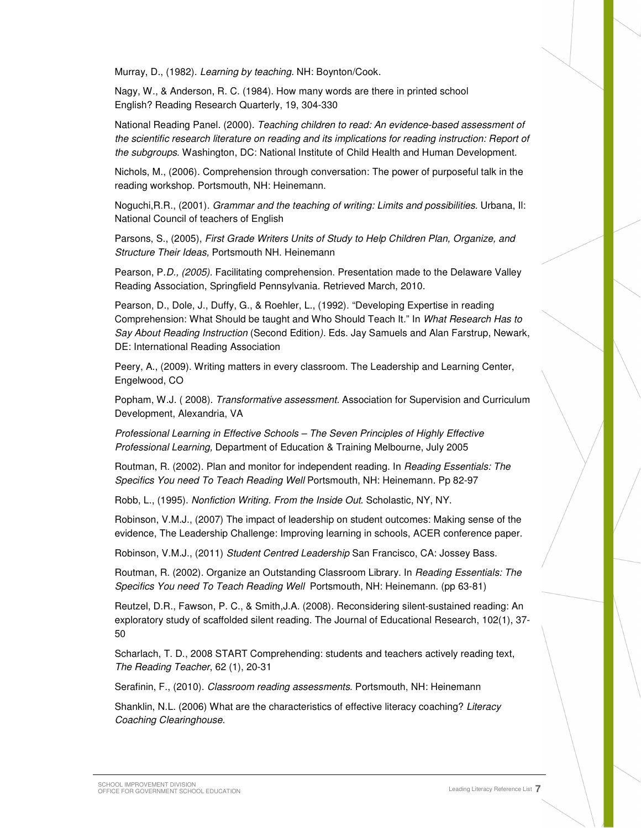Murray, D., (1982). Learning by teaching. NH: Boynton/Cook.

Nagy, W., & Anderson, R. C. (1984). How many words are there in printed school English? Reading Research Quarterly, 19, 304-330

National Reading Panel. (2000). Teaching children to read: An evidence-based assessment of the scientific research literature on reading and its implications for reading instruction: Report of the subgroups. Washington, DC: National Institute of Child Health and Human Development.

Nichols, M., (2006). Comprehension through conversation: The power of purposeful talk in the reading workshop. Portsmouth, NH: Heinemann.

Noguchi,R.R., (2001). Grammar and the teaching of writing: Limits and possibilities. Urbana, Il: National Council of teachers of English

Parsons, S., (2005), First Grade Writers Units of Study to Help Children Plan, Organize, and Structure Their Ideas, Portsmouth NH. Heinemann

Pearson, P.D., (2005). Facilitating comprehension. Presentation made to the Delaware Valley Reading Association, Springfield Pennsylvania. Retrieved March, 2010.

Pearson, D., Dole, J., Duffy, G., & Roehler, L., (1992). "Developing Expertise in reading Comprehension: What Should be taught and Who Should Teach It." In What Research Has to Say About Reading Instruction (Second Edition). Eds. Jay Samuels and Alan Farstrup, Newark, DE: International Reading Association

Peery, A., (2009). Writing matters in every classroom. The Leadership and Learning Center, Engelwood, CO

Popham, W.J. ( 2008). Transformative assessment. Association for Supervision and Curriculum Development, Alexandria, VA

Professional Learning in Effective Schools – The Seven Principles of Highly Effective Professional Learning, Department of Education & Training Melbourne, July 2005

Routman, R. (2002). Plan and monitor for independent reading. In Reading Essentials: The Specifics You need To Teach Reading Well Portsmouth, NH: Heinemann. Pp 82-97

Robb, L., (1995). Nonfiction Writing. From the Inside Out. Scholastic, NY, NY.

Robinson, V.M.J., (2007) The impact of leadership on student outcomes: Making sense of the evidence, The Leadership Challenge: Improving learning in schools, ACER conference paper.

Robinson, V.M.J., (2011) Student Centred Leadership San Francisco, CA: Jossey Bass.

Routman, R. (2002). Organize an Outstanding Classroom Library. In Reading Essentials: The Specifics You need To Teach Reading Well Portsmouth, NH: Heinemann. (pp 63-81)

Reutzel, D.R., Fawson, P. C., & Smith,J.A. (2008). Reconsidering silent-sustained reading: An exploratory study of scaffolded silent reading. The Journal of Educational Research, 102(1), 37- 50

Scharlach, T. D., 2008 START Comprehending: students and teachers actively reading text, The Reading Teacher, 62 (1), 20-31

Serafinin, F., (2010). Classroom reading assessments. Portsmouth, NH: Heinemann

Shanklin, N.L. (2006) What are the characteristics of effective literacy coaching? Literacy Coaching Clearinghouse.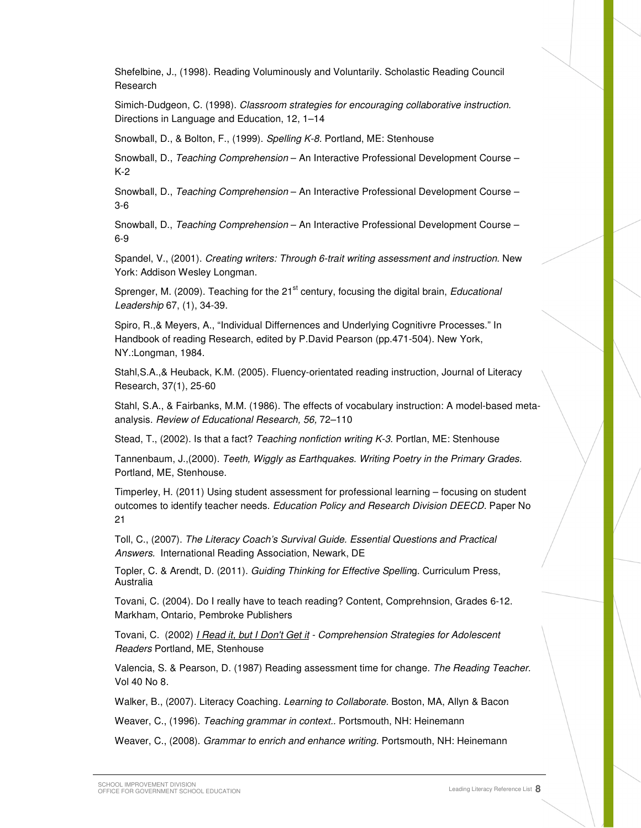Shefelbine, J., (1998). Reading Voluminously and Voluntarily. Scholastic Reading Council Research

Simich-Dudgeon, C. (1998). Classroom strategies for encouraging collaborative instruction. Directions in Language and Education, 12, 1–14

Snowball, D., & Bolton, F., (1999). Spelling K-8. Portland, ME: Stenhouse

Snowball, D., Teaching Comprehension – An Interactive Professional Development Course – K-2

Snowball, D., Teaching Comprehension – An Interactive Professional Development Course – 3-6

Snowball, D., Teaching Comprehension – An Interactive Professional Development Course – 6-9

Spandel, V., (2001). Creating writers: Through 6-trait writing assessment and instruction. New York: Addison Wesley Longman.

Sprenger, M. (2009). Teaching for the  $21<sup>st</sup>$  century, focusing the digital brain, *Educational* Leadership 67, (1), 34-39.

Spiro, R.,& Meyers, A., "Individual Differnences and Underlying Cognitivre Processes." In Handbook of reading Research, edited by P.David Pearson (pp.471-504). New York, NY.:Longman, 1984.

Stahl,S.A.,& Heuback, K.M. (2005). Fluency-orientated reading instruction, Journal of Literacy Research, 37(1), 25-60

Stahl, S.A., & Fairbanks, M.M. (1986). The effects of vocabulary instruction: A model-based metaanalysis. Review of Educational Research, 56, 72–110

Stead, T., (2002). Is that a fact? Teaching nonfiction writing K-3. Portlan, ME: Stenhouse

Tannenbaum, J.,(2000). Teeth, Wiggly as Earthquakes. Writing Poetry in the Primary Grades. Portland, ME, Stenhouse.

Timperley, H. (2011) Using student assessment for professional learning – focusing on student outcomes to identify teacher needs. Education Policy and Research Division DEECD. Paper No 21

Toll, C., (2007). The Literacy Coach's Survival Guide. Essential Questions and Practical Answers. International Reading Association, Newark, DE

Topler, C. & Arendt, D. (2011). Guiding Thinking for Effective Spelling. Curriculum Press, Australia

Tovani, C. (2004). Do I really have to teach reading? Content, Comprehnsion, Grades 6-12. Markham, Ontario, Pembroke Publishers

Tovani, C. (2002) I Read it, but I Don't Get it - Comprehension Strategies for Adolescent Readers Portland, ME, Stenhouse

Valencia, S. & Pearson, D. (1987) Reading assessment time for change. The Reading Teacher. Vol 40 No 8.

Walker, B., (2007). Literacy Coaching. Learning to Collaborate. Boston, MA, Allyn & Bacon

Weaver, C., (1996). Teaching grammar in context.. Portsmouth, NH: Heinemann

Weaver, C., (2008). Grammar to enrich and enhance writing. Portsmouth, NH: Heinemann